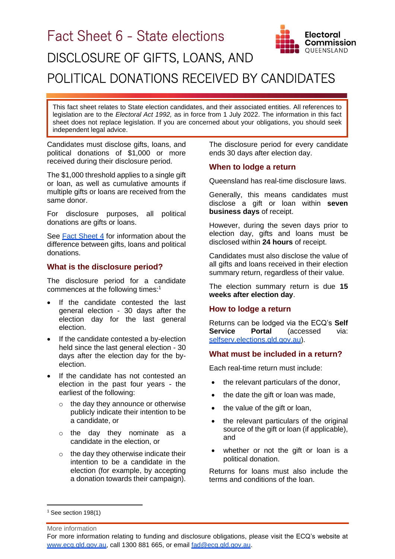

This fact sheet relates to State election candidates, and their associated entities. All references to legislation are to the *Electoral Act 1992,* as in force from 1 July 2022. The information in this fact sheet does not replace legislation. If you are concerned about your obligations, you should seek independent legal advice.

Candidates must disclose gifts, loans, and political donations of \$1,000 or more received during their disclosure period.

The \$1,000 threshold applies to a single gift or loan, as well as cumulative amounts if multiple gifts or loans are received from the same donor.

For disclosure purposes, all political donations are gifts or loans.

See **[Fact Sheet 4](https://www.ecq.qld.gov.au/election-participants/handbooks,-fact-sheets-and-forms)** for information about the difference between gifts, loans and political donations.

# **What is the disclosure period?**

The disclosure period for a candidate commences at the following times: 1

- If the candidate contested the last general election - 30 days after the election day for the last general election.
- If the candidate contested a by-election held since the last general election - 30 days after the election day for the byelection.
- If the candidate has not contested an election in the past four years - the earliest of the following:
	- o the day they announce or otherwise publicly indicate their intention to be a candidate, or
	- o the day they nominate as a candidate in the election, or
	- $\circ$  the day they otherwise indicate their intention to be a candidate in the election (for example, by accepting a donation towards their campaign).

The disclosure period for every candidate ends 30 days after election day.

### **When to lodge a return**

Queensland has real-time disclosure laws.

Generally, this means candidates must disclose a gift or loan within **seven business days** of receipt.

However, during the seven days prior to election day, gifts and loans must be disclosed within **24 hours** of receipt.

Candidates must also disclose the value of all gifts and loans received in their election summary return, regardless of their value.

The election summary return is due **15 weeks after election day**.

## **How to lodge a return**

Returns can be lodged via the ECQ's **Self Service Portal** (accessed via: [selfserv.elections.qld.gov.au\)](https://selfserv.elections.qld.gov.au/).

## **What must be included in a return?**

Each real-time return must include:

- the relevant particulars of the donor,
- the date the gift or loan was made,
- the value of the gift or loan,
- the relevant particulars of the original source of the gift or loan (if applicable), and
- whether or not the gift or loan is a political donation.

Returns for loans must also include the terms and conditions of the loan.

More information

 $1$  See section 198(1)

For more information relating to funding and disclosure obligations, please visit the ECQ's website at [www.ecq.qld.gov.au,](http://www.ecq.qld.gov.au/) call 1300 881 665, or email [fad@ecq.qld.gov.au.](mailto:fad@ecq.qld.gov.au)